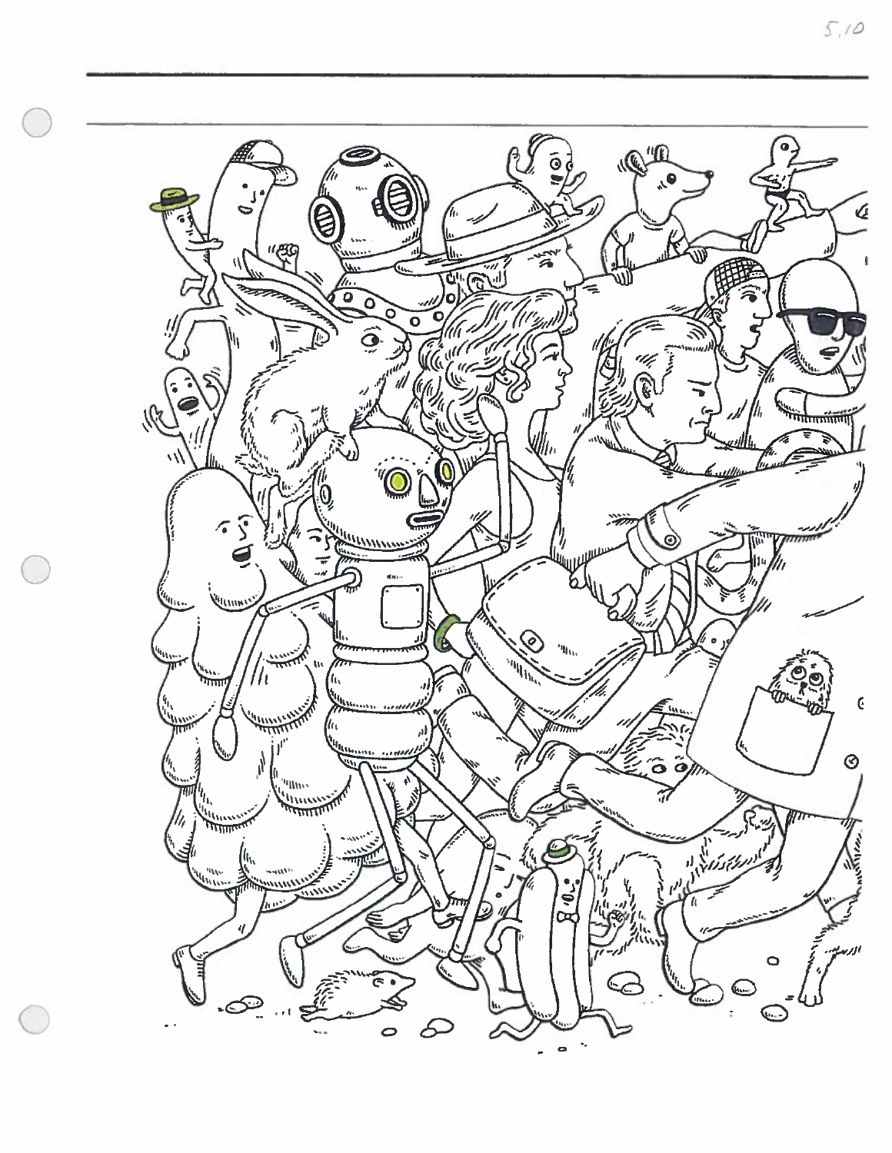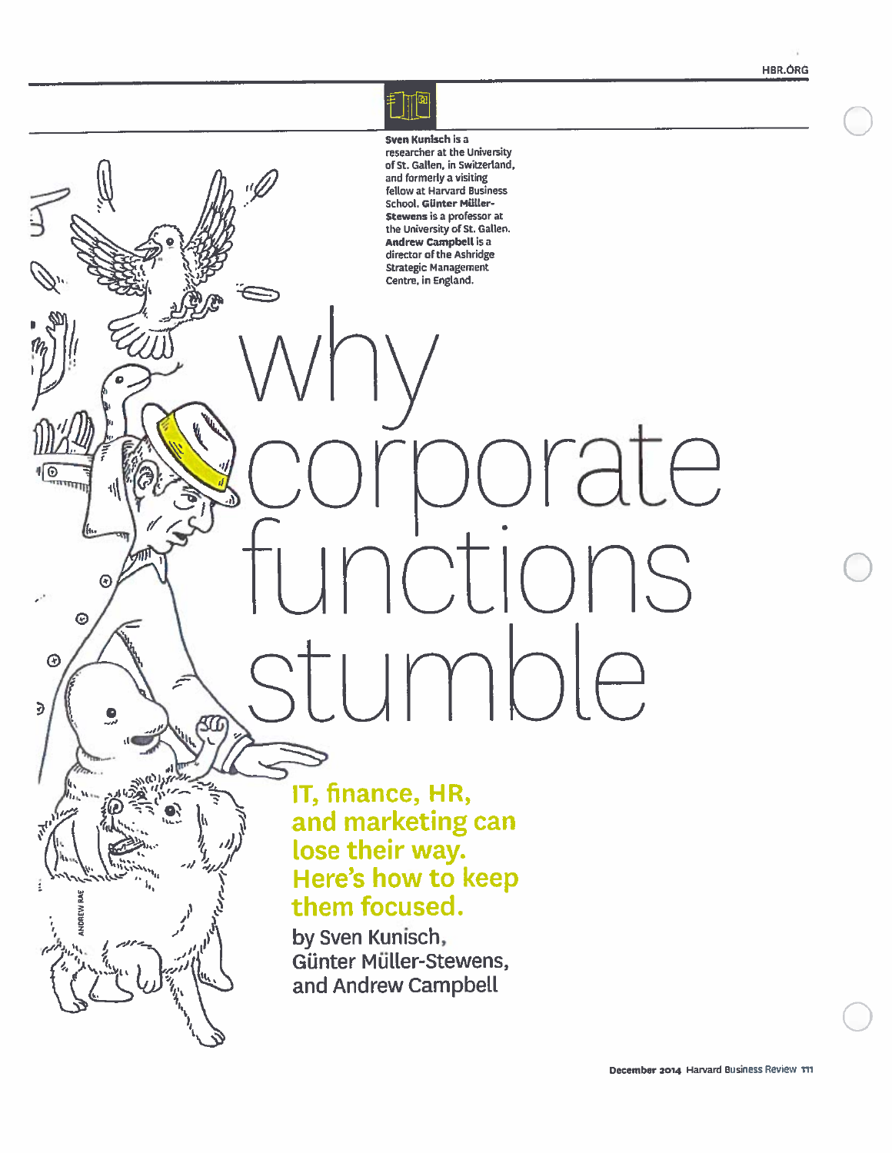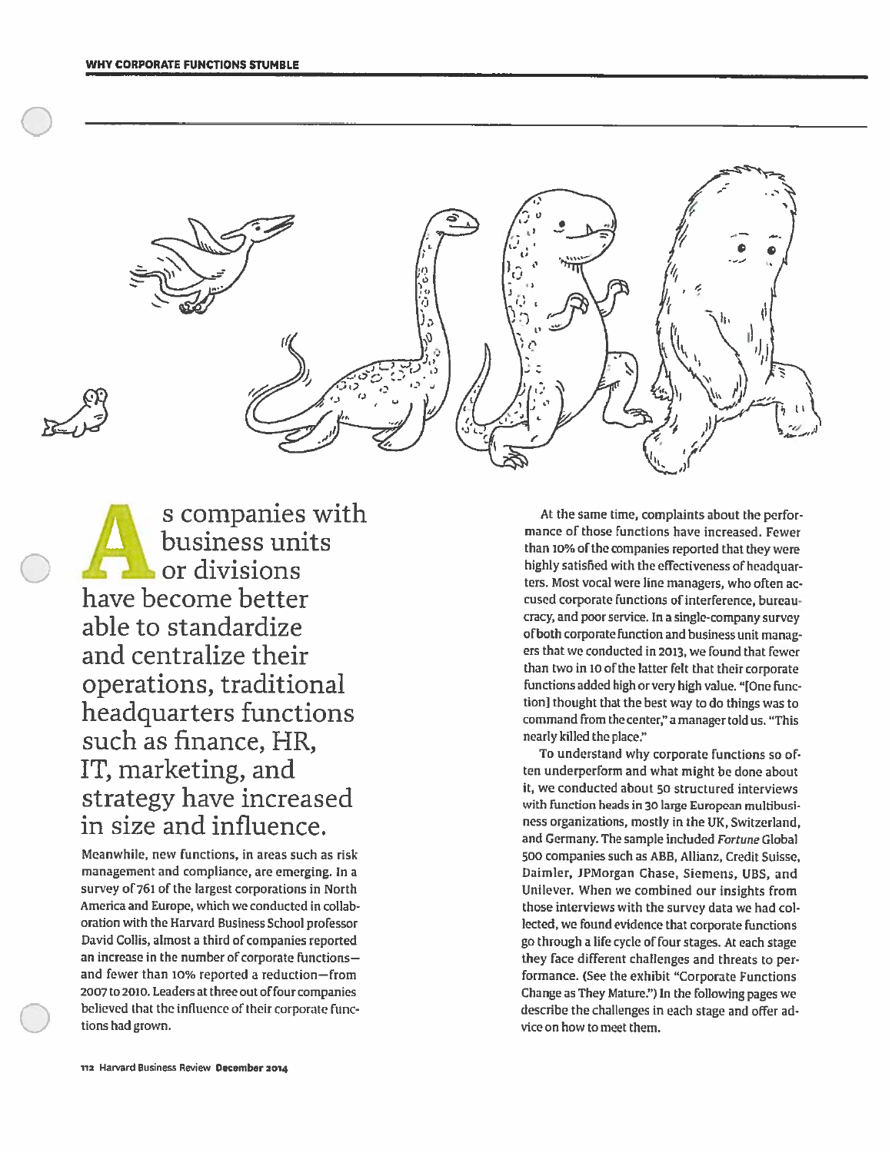

s companies with<br>business units<br>or divisions have become better able to standardize and centralize their operations, traditional headquarters functions such as finance, HR, IT, marketing, and strategy have increased in size and influence.

Meanwhile, new functions, in areas such as risk managemen<sup>t</sup> and compliance, are emerging. In <sup>a</sup> survey of 761 of the largest corporations in North America and Europe, which we conducted in collab oration with the Harvard Business School professor David Collis, almost <sup>a</sup> third of companies reported an increase in the number of corporate functions and fewer than 10% reported <sup>a</sup> reduction—from 2007 to 2010. Leaders at three out offour companies believed that the influence of their corporate func tions had grown.

cracy, and poor service. In <sup>a</sup> single-company survey ofboth corporate function and business unit manag ers that we conducted in 2013, we found that fewer than two in 10 of the latter felt that their corporate functions added high or very high value. "[One function] thought that the best way to do things was to command from the center;' <sup>a</sup> manager told us. "This nearly killed the place." At the same time, complaints about the perfor mance of those functions have increased, Fewer than 10% of the companies reported that they were highly satisfied with the effectiveness of headquar ters. Most vocal were line managers, who often ac cused corporate functions of interference, bureau-

To understand why corporate functions so of ten underperform and what might be done about it, we conducted about <sup>50</sup> structured interviews with function heads in <sup>30</sup> large European multibusi ness organizations, mostly in the UK, Switzerland, and Germany. The sample included Fortune Global <sup>500</sup> companies such as ABB, Allianz, Credit Suisse, Daimler, JPMorgan Chase, Siemens, UBS, and Unilever. When we combined our insights from those interviews with the survey data we had col lected, we found evidence that corporate functions go through <sup>a</sup> life cycle of four stages. At each stage they face different challenges and threats to per formance. (See the exhibit "Corporate Functions Change as They Mature,") In the following pages we describe the challenges in each stage and offer ad vice on how to meet them.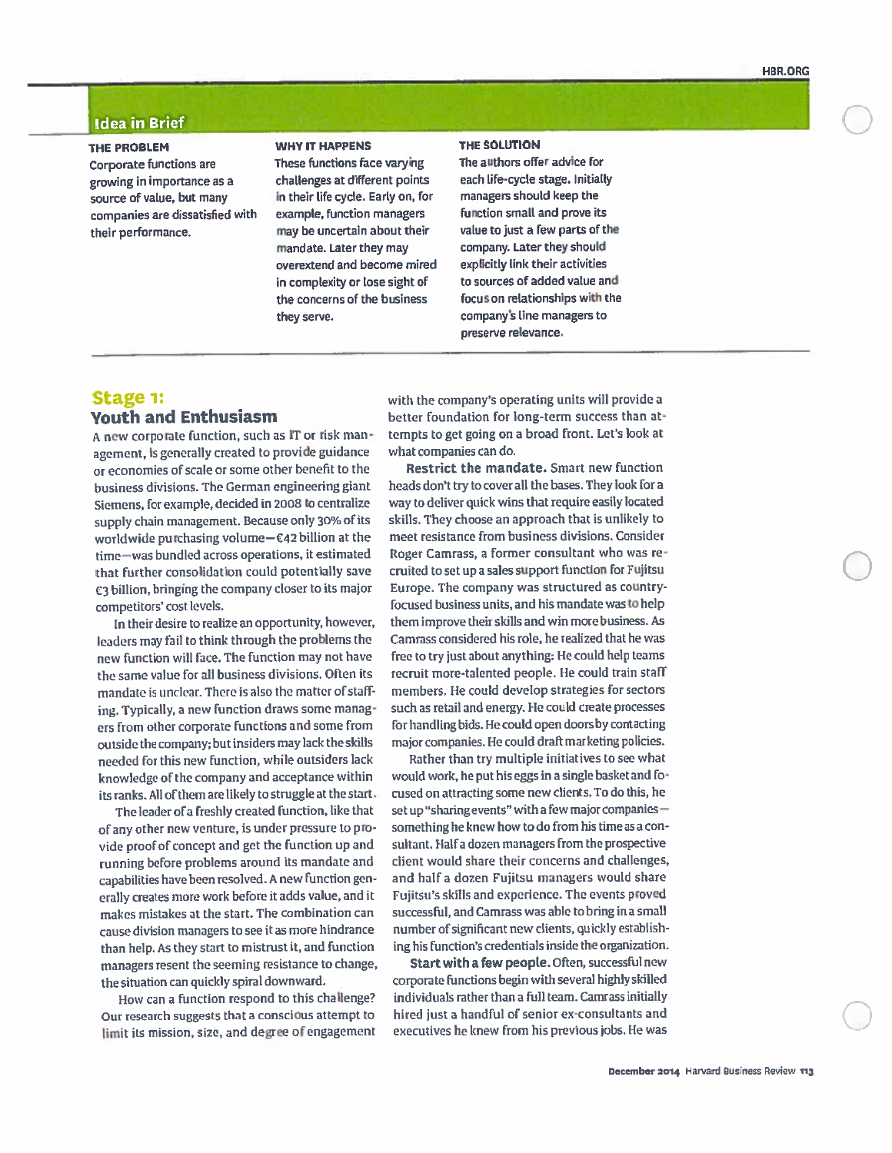$\bigcirc$ 

 $\bigcirc$ 

 $\bigcirc$ 

# 1ea in Brie

#### THE PROBLEM

Corporate functions are growing in importance as <sup>a</sup> source of value. but many companies are dissatisfied with their performance.

#### WHY IT HAPPENS

mandate. Later they may overextend and become mired in complexity or lose sight of the concerns of the business they serve. These functions face varying challenges at different points in their life cycle. Early on, for example, function managers may be uncertain about their

#### THE SOLUTION

The authors offer advice for each life-cycle stage. Initially managers should keep the function small and prove its value to just <sup>a</sup> few parts of the company. Later they should expLicitly Link their activities to sources of added value and focus on reLationships with the company's line managers to preserve relevance.

# Stage 1:

## Youth and Enthusiasm

A new corporate function, such as IT or risk man agement, is generally created to provide guidance or economies of scale or some other benefit to the business divisions. The German engineering giant Siemens, for example, decided in 2008 to centralize supply chain management. Because only 30% of its worldwide purchasing volume–€42 billion at the time—was bundled across operations, it estimated that further consolidation could potentially save €3 billion, bringing the company closer to its major competitors' cost levels.

In their desire to realize an opportunity, however, leaders may fail to think through the problems the new function will face. The function may not have the same value for all business divisions. Often its mandate is unclear. There is also the matter of staffing. Typically, <sup>a</sup> new function draws some manag ers from other corporate functions and some from outside the company; but insiders may lack the skills needed for this new function, while outsiders lack knowledge of the company and acceptance within its ranks. All ofthem are likely to struggle at the start.

The leader of <sup>a</sup> freshly created function, like that of any other new venture, is under pressure to pro vide proo<sup>f</sup> of concep<sup>t</sup> and ge<sup>t</sup> the function up and running before problems around its mandate and capabilities have been resolved. <sup>A</sup> new function gen erally creates more work before it adds value, and it makes mistakes at the start. The combination can cause division managers to see it as more hindrance than help. As they start to mistrust it, and function managers resent the seeming resistance to change, the situation can quickly spiral downward.

How can <sup>a</sup> function respon<sup>d</sup> to this challenge? Our research suggests that <sup>a</sup> conscious attempt to limit its mission, size, and degree of engagemen<sup>t</sup>

with the company's operating units will provide <sup>a</sup> better foundation for long-term success than at tempts to ge<sup>t</sup> going on <sup>a</sup> broad front. Let's look at what companies can do.

Restrict the mandate. Smart new function heads don't try to cover all the bases. They look for <sup>a</sup> way to deliver quick wins that require easily located skills. They choose an approac<sup>h</sup> that is unlikely to meet resistance from business divisions. Consider Roger Camrass, <sup>a</sup> former consultant who was re cruited to set up <sup>a</sup> sales suppor<sup>t</sup> function for Fujitsu Europe. The company was structured as countryfocused business units, and his mandate was to help them improve their skills and win more business. As Camrass considered his role, he realized that he was free to try just about anything: He could help teams recruit more-talented people. He could train staff members. lie could develop strategies for sectors such as retail and energy. He could create processes for handling bids. He could open doors by contacting major companies. He could draft marketing policies.

Rather than try multiple initiatives to see what would work, he pu<sup>t</sup> his eggs in <sup>a</sup> single basket and fo cused on attracting some new clients. To do this, he set up "sharing events" with <sup>a</sup> few major companies something he knew how to do from his time as <sup>a</sup> con sultant. Half a dozen managers from the prospective client would share their concerns and challenges, and half <sup>a</sup> dozen Fujitsu managers would share Fujitsu's skills and experience. The events prove<sup>d</sup> successful, and Camrass was able to bring in <sup>a</sup> small number of significant new clients, quickly establishing his function's credentials inside the organization.

Start with <sup>a</sup> few people. Often, successful new corporate functions begin with several highly skilled individuals rather than <sup>a</sup> hill team. Camrass initially hired just <sup>a</sup> handful of senior ex-consultants and executives he knew from his previous jobs. He was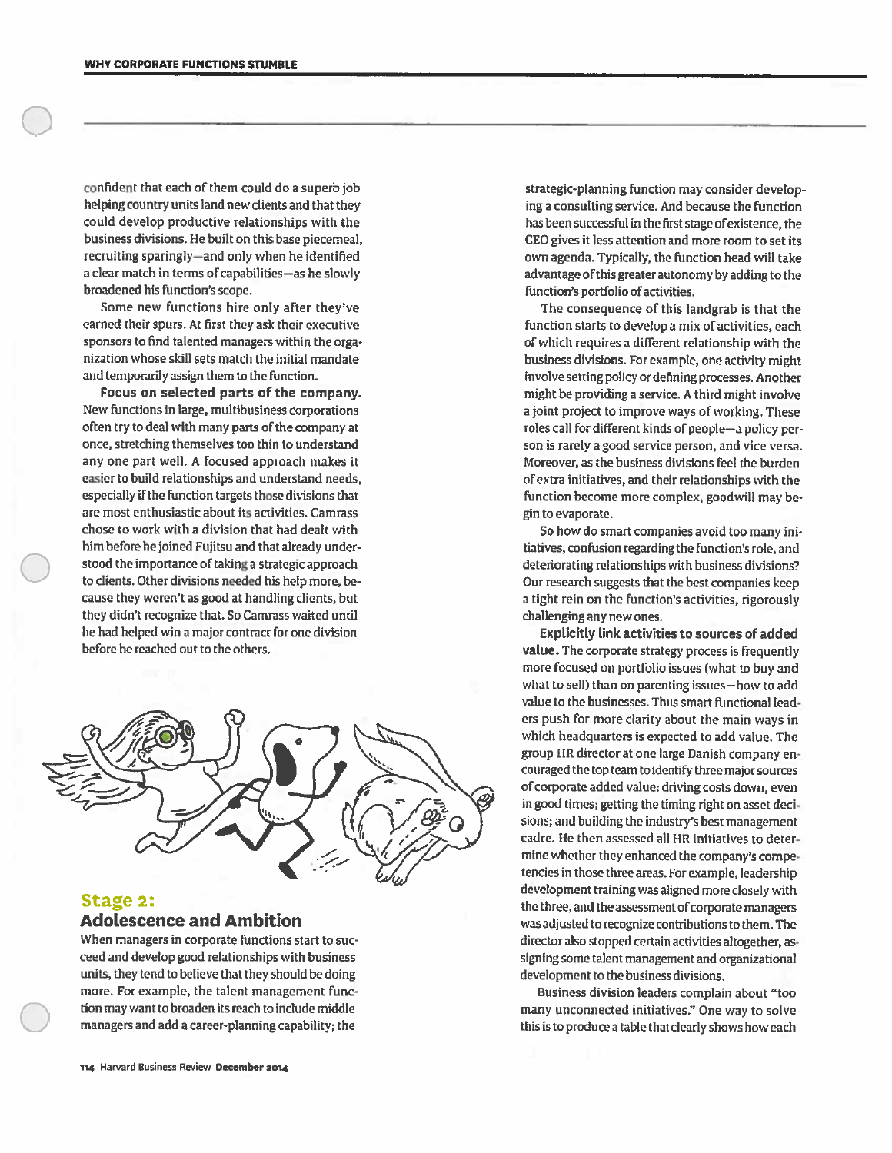confident that each of them could do <sup>a</sup> superb job helping country units land new clients and that they could develop productive relationships with the business divisions. He built on this base piecemeal, recruiting sparingly—and only when he identified <sup>a</sup> clear match in terms of capabilities—as he slowly broadened his function's scope.

Some new functions hire only after they've earned their spurs. At first they ask their executive sponsors to find talented managers within the orga nization whose skill sets match the initial mandate and temporarily assign them to the function.

Focus on selected parts of the company. New functions in large, multibusiness corporations often try to deal with many parts of the company at once, stretching themselves too thin to understand any one par<sup>t</sup> well. A focused approach makes it easier to build relationships and understand needs, especially if the function targets those divisions that are most enthusiastic about its activities. Camrass chose to work with <sup>a</sup> division that had dealt with him before he joined Fujitsu and that already under stood the importance of taking a strategic approach<br>to clients. Other divisions needed his help more, because they weren't as good at handling clients, but they didn't recognize that. So Camrass waited until he had helped win <sup>a</sup> major contract for one division before he reached out to the others.



# AdoLescence and Ambition Stage 2:

When managers in corporate functions start to suc ceed and develop good relationships with business units, they tend to believe that they should be doing more. For example, the talent managemen<sup>t</sup> func tion may want to broaden its reach to include middle<br>managers and add a career-planning capability; the

strategic-planning function may consider develop ing <sup>a</sup> consulting service. And because the function has been successful in the first stage of existence, the CEO gives it less attention and more room to set its own agenda. Typically, the function head will take advantage ofthis greater autonomy by adding to the function's portfolio of activities.

The consequence of this landgrab is that the function starts to develop <sup>a</sup> mix of activities, each of which requires <sup>a</sup> different relationship with the business divisions. For example, one activity might involve setting policy or defining processes. Another might be providing <sup>a</sup> service. A third might involve <sup>a</sup> joint project to improve ways of working. These roles call for different kinds of people—a policy per son is rarely <sup>a</sup> good service person, and vice versa. Moreover, as the business divisions feel the burden of extra initiatives, and their relationships with the function become more complex, goodwill may be gin to evaporate.

So how do smart companies avoid too many ini tiatives, confusion regarding the function's role, and deteriorating relationships with business divisions? Our research suggests that the best companies keep <sup>a</sup> tight rein on the function's activities, rigorously challenging any new ones.

Explicitly link activities to sources of added value. The corporate strategy process is frequently more focused on portfolio issues (what to buy and what to sell) than on parenting issues—how to add value to the businesses. Thus smart functional lead ers pus<sup>h</sup> for more clarity about the main ways in which headquarters is expected to add value. The group FIR director at one large Danish company en courage<sup>d</sup> the top team to identify three major sources of corporate added value: driving costs down, even in good times; getting the timing right on asset deci sions; and building the industry's best managemen<sup>t</sup> cadre. He then assessed all HR initiatives to determine whether they enhanced the company's compe tencies in those three areas. For example, leadership development training was aligned more closely with the three, and the assessment of corporate managers was adjusted to recognize contributions to them. The director also stopped certain activities altogether, as signing some talent managemen<sup>t</sup> and organizational development to the business divisions.

Business division leaders complain about "too many unconnected initiatives." One way to solve this is to produce <sup>a</sup> table that clearly shows how each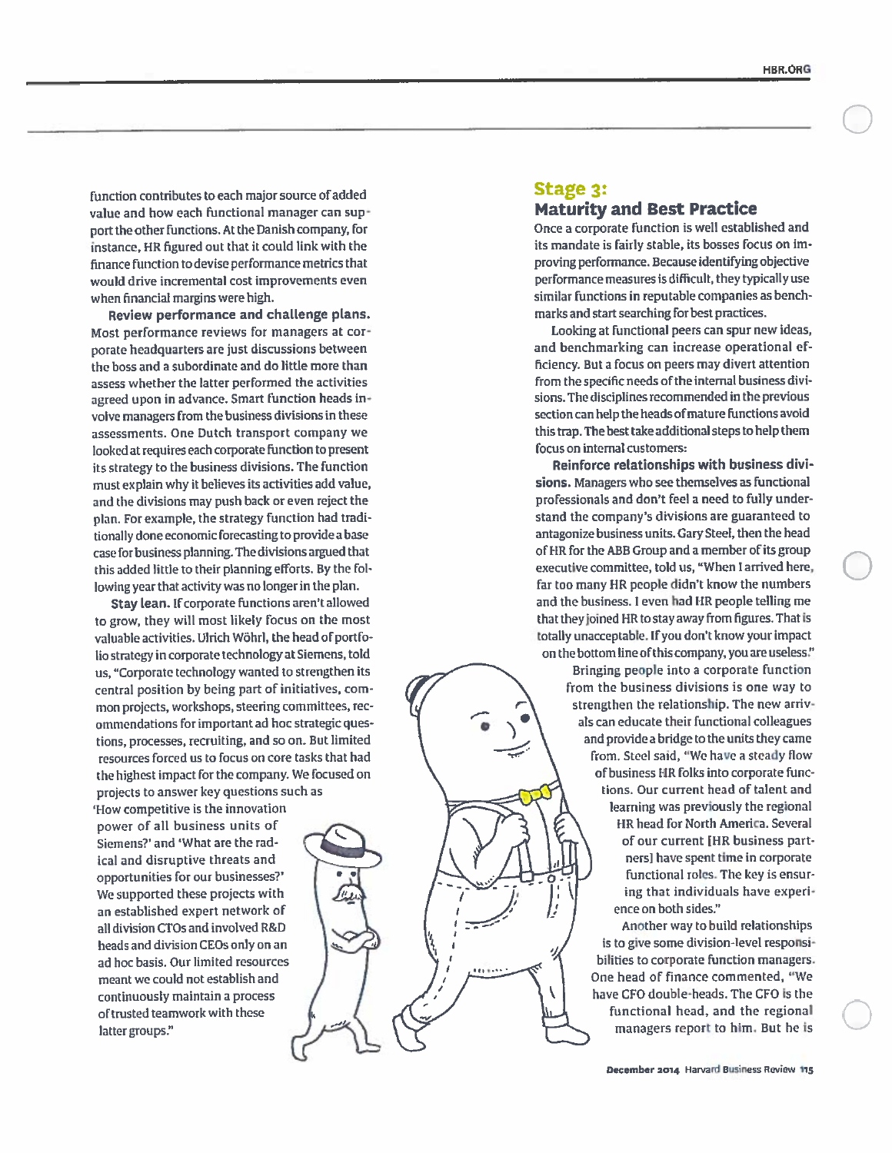$\bigcirc$ 

 $\subset$ 

 $\bigcirc$ 

function contributes to each major source of added value and how each functional manager can sup por<sup>t</sup> the other functions. At the Danish company, for instance, HR figured out that it could link with the finance function to devise performance metrics that would drive incremental cost improvements even when financial margins were high.

Review performance and chalLenge <sup>p</sup>lans. Most performance reviews for managers at cor porate headquarters are just discussions between the boss and <sup>a</sup> subordinate and do little more than assess whether the latter performed the activities agree<sup>d</sup> upon in advance. Smart function heads in volve managers from the business divisions in these assessments. One Dutch transport company we looked at requires each corporate function to presen<sup>t</sup> its strategy to the business divisions. The function must explain why it believes its activities add value, and the divisions may push back or even reject the <sup>p</sup>lan. For example, the strategy function had tradi tionally done economic forecasting to provide <sup>a</sup> base case for business planning. The divisions argued that this added little to their planning efforts. By the fol lowing year that activity was no longer in the plan.

Stay Lean. If corporate functions aren't allowed to grow, they will most likely focus on the most valuable activities. Ulrich Wöhrl, the head of portfoliostrategy in corporate technology at Siemens, told us, "Corporate technology wanted to strengthen its central position by being par<sup>t</sup> of initiatives, com mon projects, workshops, steering committees, rec ommendations for important ad hoc strategic ques tions, processes, recruiting, and so on. But limited resources forced us to focus on core tasks that had the highest impact for the company, We Focused on projects to answer key questions such as

'Flow competitive is the innovation power of all business units or Siemens?' and 'What are the rad ical and disruptive threats and opportunities for our businesses?' We supported these projects with an established exper<sup>t</sup> network of all division CTOs and involved R&D heads and division CEOs only on an ad hoc basis. Our limited resources meant we could not establish and continuously maintain <sup>a</sup> process oftrusted teamwork with these latter groups.'

## Stage 3: Maturity and Best Practice

Once <sup>a</sup> corporate function is well established and its mandate is fairly stable, its bosses focus on im proving performance. Because identifying objective performance measures is difficult, they typically use similar functions in reputable companies as bench marks and start searching for best practices,

Looking at functional peers can spur new ideas, and benchmarking can increase operational ef ficiency. But <sup>a</sup> focus on peers may divert attention from the specific needs of the internal business divi sions. The disciplines recommended in the previous section can help the heads ofmature functions avoid this tmp. The best take additional steps to help them focus on internal customers:

Reinforce relationships with business divi sions, Managers who see themselves as functional professionals and don't feel <sup>a</sup> need to fully under stand the company's divisions are guaranteed to antagonize business units. Gary Steel, then the head of FIR for the ABB Group and <sup>a</sup> member of its group executive committee, told us, "When I arrived here, far too many FIR people didn't know the numbers and the business. I even had HR people telling me that they joined HR to stay away from figures. That is totally unacceptable. If you don't know your impact on the bottom line ofthis company, you are useless:'

> Bringing people into <sup>a</sup> corporate function from the business divisions is one way to strengthen the relationship. The new arriv als can educate their functional colleagues and provide <sup>a</sup> bridge to the units they came from, Steel said, "We have <sup>a</sup> steady flow of business HR folks into corporate func tions. Our current head of talent and learning was previously the regional HR head for North America. Several of our current [HR business partners] have spen<sup>t</sup> time in corporate functional roles. The key is ensur ing that individuals have exper<sup>i</sup> ence on both sides,"

Another way to build relationships is to give some division-level responsi bilities to corporate function managers. One head of finance commented, "We have CFO double-heads. The CFO is the functional head, and the regional managers repor<sup>t</sup> to him. But he is

December 2014 Harvard Business Review 115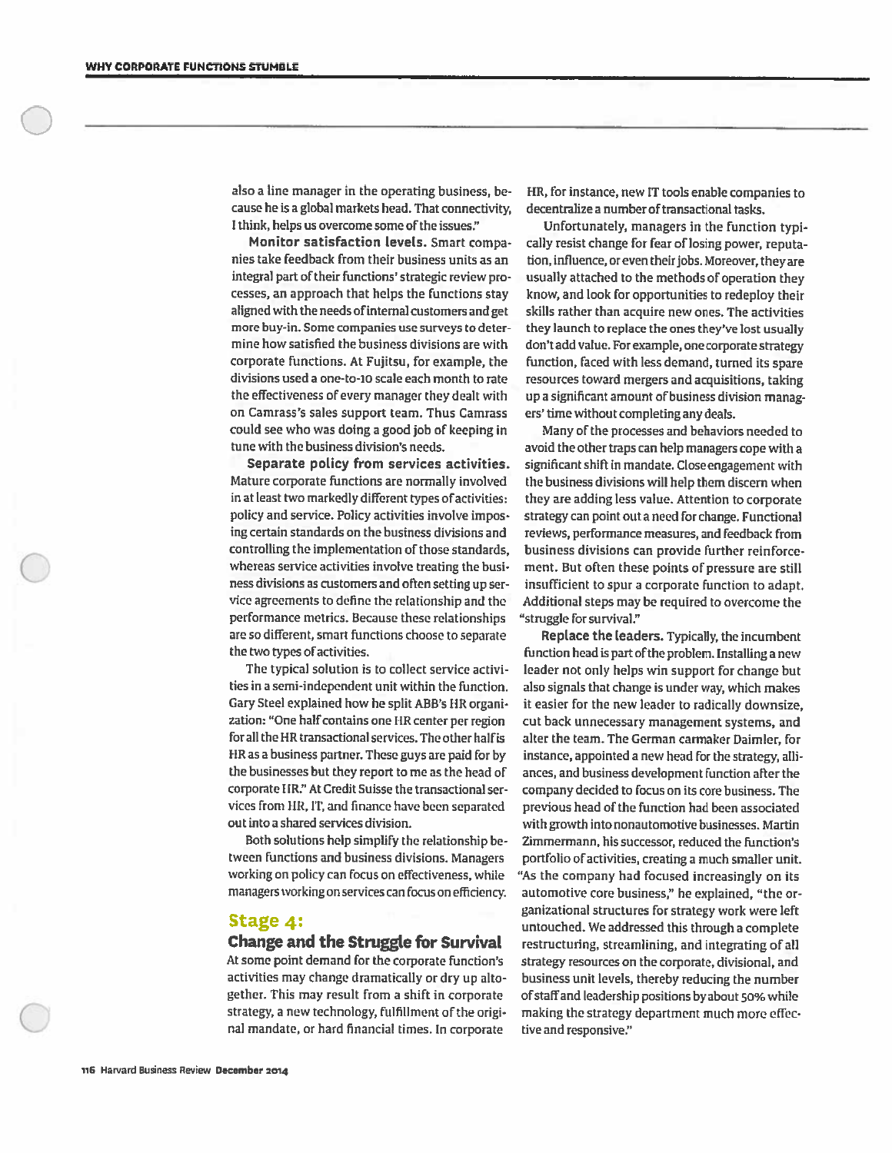also a line manager in the operating business, because he is <sup>a</sup> global markets head. That connectivity, I think, helps us overcome some of the issues."

Monitor satisfaction levels. Smart compahies take feedback from their business units as an integral part of their functions' strategic review processes, an approac<sup>h</sup> that helps the functions stay aligned with the needs of internal customers and get more buy-in. Some companies use surveys to deter mine how satisfied the business divisions are with corporate functions. At Fujitsu, for example, the divisions used a one-to-10 scale each month to rate the effectiveness of every manager they dealt with on Camrass's sales suppor<sup>t</sup> team. Thus Camrass could see who was doing <sup>a</sup> good job of keeping in tune with the business division's needs.

Separate policy from services activities, Mature corporate functions are normally involved in at least two markedly different types of activities: policy and service. Policy activities involve impos ing certain standards on the business divisions and controlling the implementation of those standards, whereas service activities involve treating the busi ness divisions as customers and often setting up ser vice agreements to define the relationship and the performance metrics. Because these relationships are so differeni, smart functions choose to separate the two types of activities.

The typical solution is to collect service activi ties in <sup>a</sup> semi-independent unit within the function. Gary Steel explained how he split ABB's HR organization: "One half contains one HR center per region for all the HR transactional services. The other half is IlR as <sup>a</sup> business partner. These guys are paid for by the businesses but they repor<sup>t</sup> tome as the head of corporate llR' At Credit Suisse the transactional ser vices from HR. U', and finance have been separated out into <sup>a</sup> shared services division.

Both solutions help simplify the relationship be tween functions and business divisions. Managers working on policy can focus on effectiveness, while managers working on services can focus on efficiency

### Stage 4:

## Change and the Struggle for SurvivaL

At some point demand for the corporate function's activities may change dramatically or dry up alto gether. This may result from <sup>a</sup> shift in corporate strategy, <sup>a</sup> new technology, fulfillment of the origi nal mandate, or hard financial times. In corporate

HR. for instance, new IT tools enable companies to decentralize <sup>a</sup> number of transactional tasks.

Unfortunately, managers in the function typi cally resist change for fear of losing power, reputa tion, influence, or even theirjobs. Moreover, they are usually attached to the methods of operation they know, and look for opportunities to redeploy their skills rather than acquire new ones. The activities they launch to replace the ones they've lost usually don't add value. For example, one corporate strategy function, faced with less demand, turned its spare resources toward mergers and acquisitions, taking up <sup>a</sup> significant amount of business division manag ers' time without completing any deals.

Many of the processes and behaviors needed to avoid the other traps can help managers cope with <sup>a</sup> significant shift in mandate. Close engagemen<sup>t</sup> with the business divisions will help them discern when they are adding less value. Attention to corporate strategy can point out a need for change. Functional reviews, performance measures, and feedback from business divisions can provide further reinforce ment. But often these points of pressure are still insufficient to spur <sup>a</sup> corporate function to adapt. Additional steps may be required to overcome the "struggle for survival:'

Replace the leaders. Typically, the incumbent function head is part of the problem. Installing a new leader not only helps win suppor<sup>t</sup> for change but also signals that change is under way, which makes it easier for the new leader to radically downsize, cut back unnecessary managemen<sup>t</sup> systems, and alter the team. The German carmaker Daimler, for instance, appointed <sup>a</sup> new head for the strategy, alli ances, and business development function after the company decided to focus on its core business. The previous head of the function had been associated with growth into nonautomotive businesses. Martin Zimmermann, his successor, reduced the function's portfolio of activities, creating <sup>a</sup> much smaller unit. "As the company had focused increasingly on its automotive core business," he explained, "the organizational structures for strategy work were left untouched. We addressed this through <sup>a</sup> complete restructuring, streamlining, and integrating of all strategy resources on the corporate, divisional, and business unit levels, thereby reducing the number of staff and leadership positions by about 50% while making the strategy department much more effec tive and responsive:'